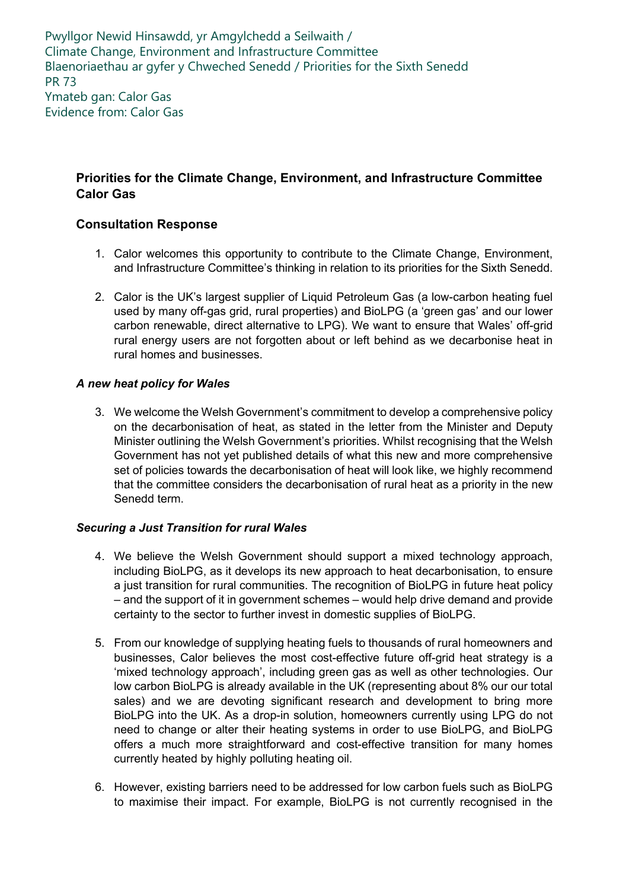Pwyllgor Newid Hinsawdd, yr Amgylchedd a Seilwaith / Climate Change, Environment and Infrastructure Committee Blaenoriaethau ar gyfer y Chweched Senedd / Priorities for the Sixth Senedd PR 73 Ymateb gan: Calor Gas Evidence from: Calor Gas

# **Priorities for the Climate Change, Environment, and Infrastructure Committee Calor Gas**

## **Consultation Response**

- 1. Calor welcomes this opportunity to contribute to the Climate Change, Environment, and Infrastructure Committee's thinking in relation to its priorities for the Sixth Senedd.
- 2. Calor is the UK's largest supplier of Liquid Petroleum Gas (a low-carbon heating fuel used by many off-gas grid, rural properties) and BioLPG (a 'green gas' and our lower carbon renewable, direct alternative to LPG). We want to ensure that Wales' off-grid rural energy users are not forgotten about or left behind as we decarbonise heat in rural homes and businesses.

### *A new heat policy for Wales*

3. We welcome the Welsh Government's commitment to develop a comprehensive policy on the decarbonisation of heat, as stated in the letter from the Minister and Deputy Minister outlining the Welsh Government's priorities. Whilst recognising that the Welsh Government has not yet published details of what this new and more comprehensive set of policies towards the decarbonisation of heat will look like, we highly recommend that the committee considers the decarbonisation of rural heat as a priority in the new Senedd term.

### *Securing a Just Transition for rural Wales*

- 4. We believe the Welsh Government should support a mixed technology approach, including BioLPG, as it develops its new approach to heat decarbonisation, to ensure a just transition for rural communities. The recognition of BioLPG in future heat policy – and the support of it in government schemes – would help drive demand and provide certainty to the sector to further invest in domestic supplies of BioLPG.
- 5. From our knowledge of supplying heating fuels to thousands of rural homeowners and businesses, Calor believes the most cost-effective future off-grid heat strategy is a 'mixed technology approach', including green gas as well as other technologies. Our low carbon BioLPG is already available in the UK (representing about 8% our our total sales) and we are devoting significant research and development to bring more BioLPG into the UK. As a drop-in solution, homeowners currently using LPG do not need to change or alter their heating systems in order to use BioLPG, and BioLPG offers a much more straightforward and cost-effective transition for many homes currently heated by highly polluting heating oil.
- 6. However, existing barriers need to be addressed for low carbon fuels such as BioLPG to maximise their impact. For example, BioLPG is not currently recognised in the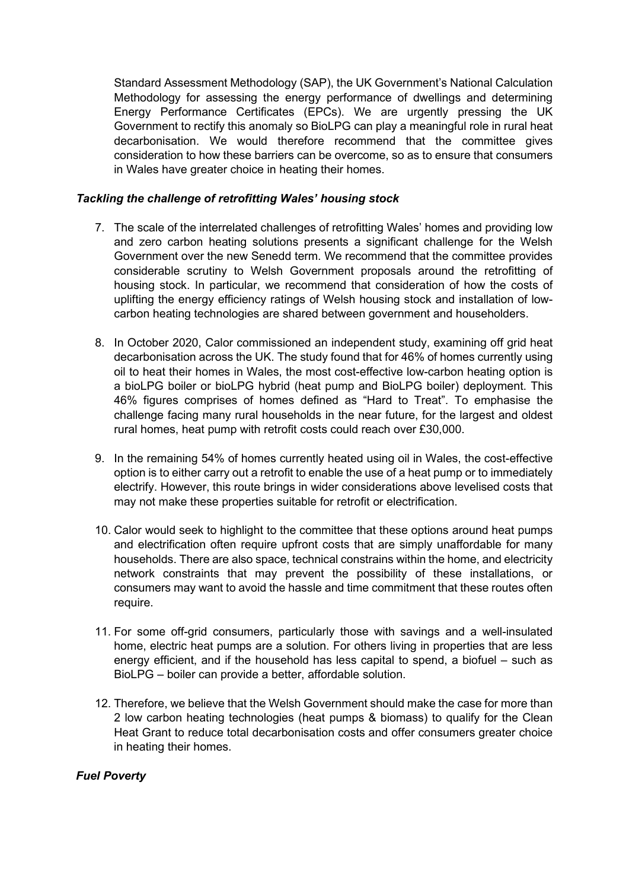Standard Assessment Methodology (SAP), the UK Government's National Calculation Methodology for assessing the energy performance of dwellings and determining Energy Performance Certificates (EPCs). We are urgently pressing the UK Government to rectify this anomaly so BioLPG can play a meaningful role in rural heat decarbonisation. We would therefore recommend that the committee gives consideration to how these barriers can be overcome, so as to ensure that consumers in Wales have greater choice in heating their homes.

#### *Tackling the challenge of retrofitting Wales' housing stock*

- 7. The scale of the interrelated challenges of retrofitting Wales' homes and providing low and zero carbon heating solutions presents a significant challenge for the Welsh Government over the new Senedd term. We recommend that the committee provides considerable scrutiny to Welsh Government proposals around the retrofitting of housing stock. In particular, we recommend that consideration of how the costs of uplifting the energy efficiency ratings of Welsh housing stock and installation of lowcarbon heating technologies are shared between government and householders.
- 8. In October 2020, Calor commissioned an independent study, examining off grid heat decarbonisation across the UK. The study found that for 46% of homes currently using oil to heat their homes in Wales, the most cost-effective low-carbon heating option is a bioLPG boiler or bioLPG hybrid (heat pump and BioLPG boiler) deployment. This 46% figures comprises of homes defined as "Hard to Treat". To emphasise the challenge facing many rural households in the near future, for the largest and oldest rural homes, heat pump with retrofit costs could reach over £30,000.
- 9. In the remaining 54% of homes currently heated using oil in Wales, the cost-effective option is to either carry out a retrofit to enable the use of a heat pump or to immediately electrify. However, this route brings in wider considerations above levelised costs that may not make these properties suitable for retrofit or electrification.
- 10. Calor would seek to highlight to the committee that these options around heat pumps and electrification often require upfront costs that are simply unaffordable for many households. There are also space, technical constrains within the home, and electricity network constraints that may prevent the possibility of these installations, or consumers may want to avoid the hassle and time commitment that these routes often require.
- 11. For some off-grid consumers, particularly those with savings and a well-insulated home, electric heat pumps are a solution. For others living in properties that are less energy efficient, and if the household has less capital to spend, a biofuel – such as BioLPG – boiler can provide a better, affordable solution.
- 12. Therefore, we believe that the Welsh Government should make the case for more than 2 low carbon heating technologies (heat pumps & biomass) to qualify for the Clean Heat Grant to reduce total decarbonisation costs and offer consumers greater choice in heating their homes.

#### *Fuel Poverty*